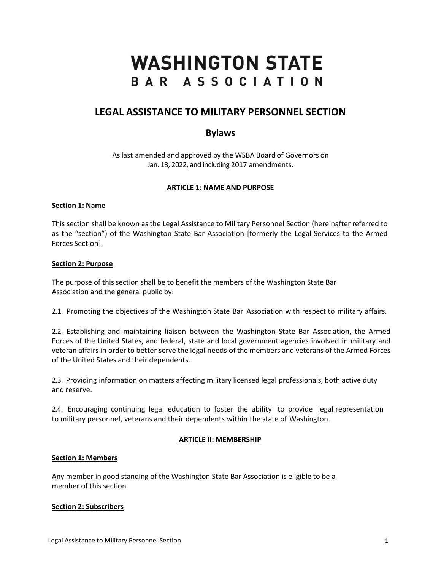# **WASHINGTON STATE** BAR ASSOCIATION

## **LEGAL ASSISTANCE TO MILITARY PERSONNEL SECTION**

## **Bylaws**

As last amended and approved by the WSBA Board of Governors on Jan. 13, 2022, and including 2017 amendments.

## **ARTICLE 1: NAME AND PURPOSE**

#### **Section 1: Name**

This section shall be known as the Legal Assistance to Military Personnel Section (hereinafter referred to as the "section") of the Washington State Bar Association [formerly the Legal Services to the Armed Forces Section].

#### **Section 2: Purpose**

The purpose of this section shall be to benefit the members of the Washington State Bar Association and the general public by:

2.1. Promoting the objectives of the Washington State Bar Association with respect to military affairs.

2.2. Establishing and maintaining liaison between the Washington State Bar Association, the Armed Forces of the United States, and federal, state and local government agencies involved in military and veteran affairs in order to better serve the legal needs of the members and veterans of the Armed Forces of the United States and their dependents.

2.3. Providing information on matters affecting military licensed legal professionals, both active duty and reserve.

2.4. Encouraging continuing legal education to foster the ability to provide legal representation to military personnel, veterans and their dependents within the state of Washington.

## **ARTICLE II: MEMBERSHIP**

## **Section 1: Members**

Any member in good standing of the Washington State Bar Association is eligible to be a member of this section.

## **Section 2: Subscribers**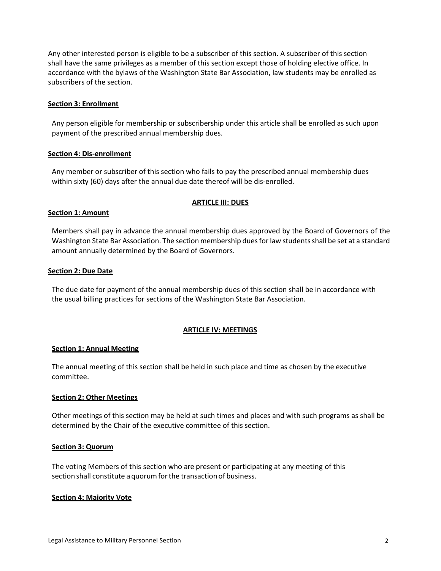Any other interested person is eligible to be a subscriber of this section. A subscriber of this section shall have the same privileges as a member of this section except those of holding elective office. In accordance with the bylaws of the Washington State Bar Association, law students may be enrolled as subscribers of the section.

#### **Section 3: Enrollment**

Any person eligible for membership or subscribership under this article shall be enrolled as such upon payment of the prescribed annual membership dues.

#### **Section 4: Dis-enrollment**

Any member or subscriber of this section who fails to pay the prescribed annual membership dues within sixty (60) days after the annual due date thereof will be dis-enrolled.

#### **ARTICLE III: DUES**

#### **Section 1: Amount**

Members shall pay in advance the annual membership dues approved by the Board of Governors of the Washington State Bar Association. The section membership dues for law students shall be set at a standard amount annually determined by the Board of Governors.

#### **Section 2: Due Date**

The due date for payment of the annual membership dues of this section shall be in accordance with the usual billing practices for sections of the Washington State Bar Association.

#### **ARTICLE IV: MEETINGS**

#### **Section 1: Annual Meeting**

The annual meeting of this section shall be held in such place and time as chosen by the executive committee.

#### **Section 2: Other Meetings**

Other meetings of this section may be held at such times and places and with such programs as shall be determined by the Chair of the executive committee of this section.

#### **Section 3: Quorum**

The voting Members of this section who are present or participating at any meeting of this section shall constitute a quorum for the transaction of business.

#### **Section 4: Majority Vote**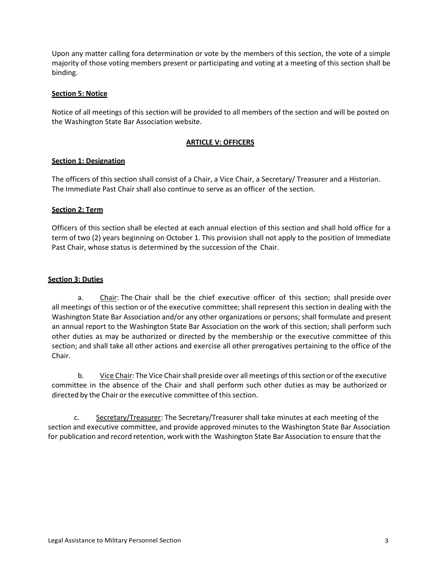Upon any matter calling fora determination or vote by the members of this section, the vote of a simple majority of those voting members present or participating and voting at a meeting of this section shall be binding.

#### **Section 5: Notice**

Notice of all meetings of this section will be provided to all members of the section and will be posted on the Washington State Bar Association website.

## **ARTICLE V: OFFICERS**

## **Section 1: Designation**

The officers of this section shall consist of a Chair, a Vice Chair, a Secretary/ Treasurer and a Historian. The Immediate Past Chair shall also continue to serve as an officer of the section.

#### **Section 2: Term**

Officers of this section shall be elected at each annual election of this section and shall hold office for a term of two (2) years beginning on October 1. This provision shall not apply to the position of Immediate Past Chair, whose status is determined by the succession of the Chair.

#### **Section 3: Duties**

a. Chair: The Chair shall be the chief executive officer of this section; shall preside over all meetings of this section or of the executive committee; shall represent this section in dealing with the Washington State Bar Association and/or any other organizations or persons; shall formulate and present an annual report to the Washington State Bar Association on the work of this section; shall perform such other duties as may be authorized or directed by the membership or the executive committee of this section; and shall take all other actions and exercise all other prerogatives pertaining to the office of the Chair.

b. Vice Chair: The Vice Chair shall preside over all meetings of this section or of the executive committee in the absence of the Chair and shall perform such other duties as may be authorized or directed by the Chair or the executive committee of this section.

c. Secretary/Treasurer: The Secretary/Treasurer shall take minutes at each meeting of the section and executive committee, and provide approved minutes to the Washington State Bar Association for publication and record retention, work with the Washington State Bar Association to ensure that the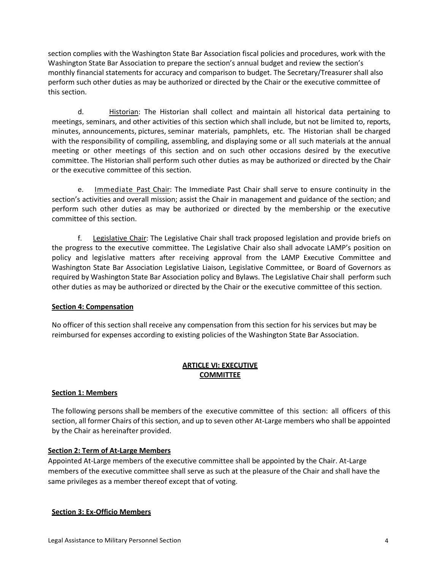section complies with the Washington State Bar Association fiscal policies and procedures, work with the Washington State Bar Association to prepare the section's annual budget and review the section's monthly financial statements for accuracy and comparison to budget. The Secretary/Treasurer shall also perform such other duties as may be authorized or directed by the Chair or the executive committee of this section.

d. Historian: The Historian shall collect and maintain all historical data pertaining to meetings, seminars, and other activities of this section which shall include, but not be limited to, reports, minutes, announcements, pictures, seminar materials, pamphlets, etc. The Historian shall be charged with the responsibility of compiling, assembling, and displaying some or all such materials at the annual meeting or other meetings of this section and on such other occasions desired by the executive committee. The Historian shall perform such other duties as may be authorized or directed by the Chair or the executive committee of this section.

e. Immediate Past Chair: The Immediate Past Chair shall serve to ensure continuity in the section's activities and overall mission; assist the Chair in management and guidance of the section; and perform such other duties as may be authorized or directed by the membership or the executive committee of this section.

f. Legislative Chair: The Legislative Chair shall track proposed legislation and provide briefs on the progress to the executive committee. The Legislative Chair also shall advocate LAMP's position on policy and legislative matters after receiving approval from the LAMP Executive Committee and Washington State Bar Association Legislative Liaison, Legislative Committee, or Board of Governors as required by Washington State Bar Association policy and Bylaws. The Legislative Chair shall perform such other duties as may be authorized or directed by the Chair or the executive committee of this section.

## **Section 4: Compensation**

No officer of this section shall receive any compensation from this section for his services but may be reimbursed for expenses according to existing policies of the Washington State Bar Association.

## **ARTICLE VI: EXECUTIVE COMMITTEE**

## **Section 1: Members**

The following persons shall be members of the executive committee of this section: all officers of this section, all former Chairs of this section, and up to seven other At-Large members who shall be appointed by the Chair as hereinafter provided.

## **Section 2: Term of At-Large Members**

Appointed At-Large members of the executive committee shall be appointed by the Chair. At-Large members of the executive committee shall serve as such at the pleasure of the Chair and shall have the same privileges as a member thereof except that of voting.

## **Section 3: Ex-Officio Members**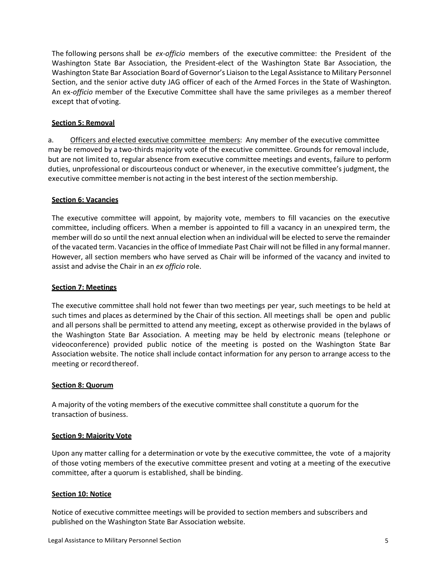The following persons shall be *ex-officio* members of the executive committee: the President of the Washington State Bar Association, the President-elect of the Washington State Bar Association, the Washington State Bar Association Board of Governor's Liaison to the Legal Assistance to Military Personnel Section, and the senior active duty JAG officer of each of the Armed Forces in the State of Washington. An ex*-officio* member of the Executive Committee shall have the same privileges as a member thereof except that of voting.

## **Section 5: Removal**

a. Officers and elected executive committee members: Any member of the executive committee may be removed by a two-thirds majority vote of the executive committee. Grounds for removal include, but are not limited to, regular absence from executive committee meetings and events, failure to perform duties, unprofessional or discourteous conduct or whenever, in the executive committee's judgment, the executive committee member is not acting in the best interest of the section membership.

## **Section 6: Vacancies**

The executive committee will appoint, by majority vote, members to fill vacancies on the executive committee, including officers. When a member is appointed to fill a vacancy in an unexpired term, the member will do so until the next annual election when an individual will be elected to serve the remainder of the vacated term. Vacancies in the office of Immediate Past Chair will not be filled in any formal manner. However, all section members who have served as Chair will be informed of the vacancy and invited to assist and advise the Chair in an *ex officio* role.

#### **Section 7: Meetings**

The executive committee shall hold not fewer than two meetings per year, such meetings to be held at such times and places as determined by the Chair of this section. All meetings shall be open and public and all persons shall be permitted to attend any meeting, except as otherwise provided in the bylaws of the Washington State Bar Association. A meeting may be held by electronic means (telephone or videoconference) provided public notice of the meeting is posted on the Washington State Bar Association website. The notice shall include contact information for any person to arrange access to the meeting or record thereof.

#### **Section 8: Quorum**

A majority of the voting members of the executive committee shall constitute a quorum for the transaction of business.

#### **Section 9: Majority Vote**

Upon any matter calling for a determination or vote by the executive committee, the vote of a majority of those voting members of the executive committee present and voting at a meeting of the executive committee, after a quorum is established, shall be binding.

#### **Section 10: Notice**

Notice of executive committee meetings will be provided to section members and subscribers and published on the Washington State Bar Association website.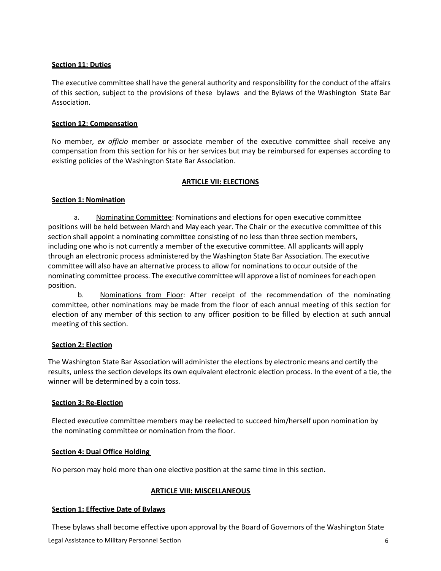## **Section 11: Duties**

The executive committee shall have the general authority and responsibility for the conduct of the affairs of this section, subject to the provisions of these bylaws and the Bylaws of the Washington State Bar Association.

## **Section 12: Compensation**

No member, *ex officio* member or associate member of the executive committee shall receive any compensation from this section for his or her services but may be reimbursed for expenses according to existing policies of the Washington State Bar Association.

## **ARTICLE VII: ELECTIONS**

## **Section 1: Nomination**

a. Nominating Committee: Nominations and elections for open executive committee positions will be held between March and May each year. The Chair or the executive committee of this section shall appoint a nominating committee consisting of no less than three section members, including one who is not currently a member of the executive committee. All applicants will apply through an electronic process administered by the Washington State Bar Association. The executive committee will also have an alternative process to allow for nominations to occur outside of the nominating committee process. The executive committee will approvea list of nomineesfor each open position.

b. Nominations from Floor: After receipt of the recommendation of the nominating committee, other nominations may be made from the floor of each annual meeting of this section for election of any member of this section to any officer position to be filled by election at such annual meeting of this section.

## **Section 2: Election**

The Washington State Bar Association will administer the elections by electronic means and certify the results, unless the section develops its own equivalent electronic election process. In the event of a tie, the winner will be determined by a coin toss.

## **Section 3: Re-Election**

Elected executive committee members may be reelected to succeed him/herself upon nomination by the nominating committee or nomination from the floor.

## **Section 4: Dual Office Holding**

No person may hold more than one elective position at the same time in this section.

## **ARTICLE VIII: MISCELLANEOUS**

## **Section 1: Effective Date of Bylaws**

These bylaws shall become effective upon approval by the Board of Governors of the Washington State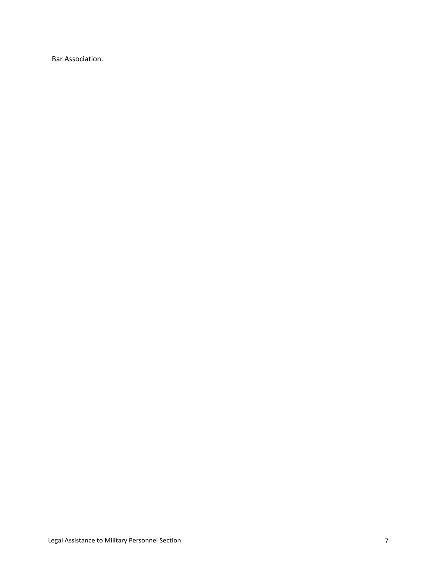Bar Association.